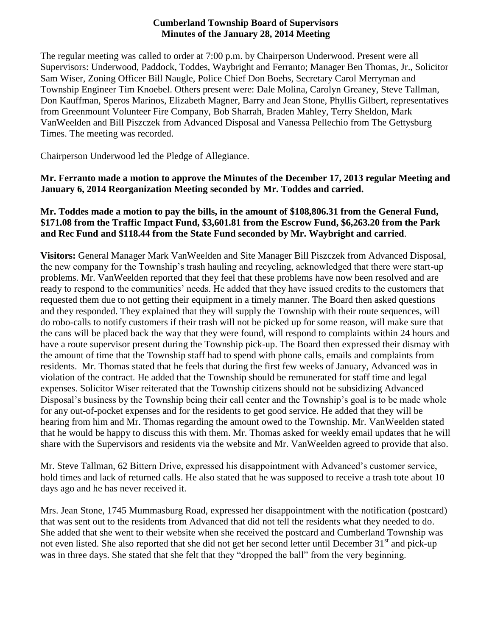#### **Cumberland Township Board of Supervisors Minutes of the January 28, 2014 Meeting**

The regular meeting was called to order at 7:00 p.m. by Chairperson Underwood. Present were all Supervisors: Underwood, Paddock, Toddes, Waybright and Ferranto; Manager Ben Thomas, Jr., Solicitor Sam Wiser, Zoning Officer Bill Naugle, Police Chief Don Boehs, Secretary Carol Merryman and Township Engineer Tim Knoebel. Others present were: Dale Molina, Carolyn Greaney, Steve Tallman, Don Kauffman, Speros Marinos, Elizabeth Magner, Barry and Jean Stone, Phyllis Gilbert, representatives from Greenmount Volunteer Fire Company, Bob Sharrah, Braden Mahley, Terry Sheldon, Mark VanWeelden and Bill Piszczek from Advanced Disposal and Vanessa Pellechio from The Gettysburg Times. The meeting was recorded.

Chairperson Underwood led the Pledge of Allegiance.

**Mr. Ferranto made a motion to approve the Minutes of the December 17, 2013 regular Meeting and January 6, 2014 Reorganization Meeting seconded by Mr. Toddes and carried.**

#### **Mr. Toddes made a motion to pay the bills, in the amount of \$108,806.31 from the General Fund, \$171.08 from the Traffic Impact Fund, \$3,601.81 from the Escrow Fund, \$6,263.20 from the Park and Rec Fund and \$118.44 from the State Fund seconded by Mr. Waybright and carried**.

**Visitors:** General Manager Mark VanWeelden and Site Manager Bill Piszczek from Advanced Disposal, the new company for the Township's trash hauling and recycling, acknowledged that there were start-up problems. Mr. VanWeelden reported that they feel that these problems have now been resolved and are ready to respond to the communities' needs. He added that they have issued credits to the customers that requested them due to not getting their equipment in a timely manner. The Board then asked questions and they responded. They explained that they will supply the Township with their route sequences, will do robo-calls to notify customers if their trash will not be picked up for some reason, will make sure that the cans will be placed back the way that they were found, will respond to complaints within 24 hours and have a route supervisor present during the Township pick-up. The Board then expressed their dismay with the amount of time that the Township staff had to spend with phone calls, emails and complaints from residents. Mr. Thomas stated that he feels that during the first few weeks of January, Advanced was in violation of the contract. He added that the Township should be remunerated for staff time and legal expenses. Solicitor Wiser reiterated that the Township citizens should not be subsidizing Advanced Disposal's business by the Township being their call center and the Township's goal is to be made whole for any out-of-pocket expenses and for the residents to get good service. He added that they will be hearing from him and Mr. Thomas regarding the amount owed to the Township. Mr. VanWeelden stated that he would be happy to discuss this with them. Mr. Thomas asked for weekly email updates that he will share with the Supervisors and residents via the website and Mr. VanWeelden agreed to provide that also.

Mr. Steve Tallman, 62 Bittern Drive, expressed his disappointment with Advanced's customer service, hold times and lack of returned calls. He also stated that he was supposed to receive a trash tote about 10 days ago and he has never received it.

Mrs. Jean Stone, 1745 Mummasburg Road, expressed her disappointment with the notification (postcard) that was sent out to the residents from Advanced that did not tell the residents what they needed to do. She added that she went to their website when she received the postcard and Cumberland Township was not even listed. She also reported that she did not get her second letter until December 31<sup>st</sup> and pick-up was in three days. She stated that she felt that they "dropped the ball" from the very beginning.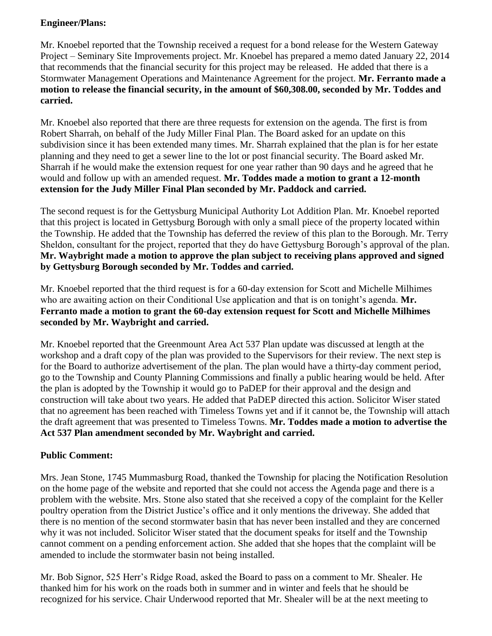#### **Engineer/Plans:**

Mr. Knoebel reported that the Township received a request for a bond release for the Western Gateway Project – Seminary Site Improvements project. Mr. Knoebel has prepared a memo dated January 22, 2014 that recommends that the financial security for this project may be released. He added that there is a Stormwater Management Operations and Maintenance Agreement for the project. **Mr. Ferranto made a motion to release the financial security, in the amount of \$60,308.00, seconded by Mr. Toddes and carried.**

Mr. Knoebel also reported that there are three requests for extension on the agenda. The first is from Robert Sharrah, on behalf of the Judy Miller Final Plan. The Board asked for an update on this subdivision since it has been extended many times. Mr. Sharrah explained that the plan is for her estate planning and they need to get a sewer line to the lot or post financial security. The Board asked Mr. Sharrah if he would make the extension request for one year rather than 90 days and he agreed that he would and follow up with an amended request. **Mr. Toddes made a motion to grant a 12-month extension for the Judy Miller Final Plan seconded by Mr. Paddock and carried.**

The second request is for the Gettysburg Municipal Authority Lot Addition Plan. Mr. Knoebel reported that this project is located in Gettysburg Borough with only a small piece of the property located within the Township. He added that the Township has deferred the review of this plan to the Borough. Mr. Terry Sheldon, consultant for the project, reported that they do have Gettysburg Borough's approval of the plan. **Mr. Waybright made a motion to approve the plan subject to receiving plans approved and signed by Gettysburg Borough seconded by Mr. Toddes and carried.**

Mr. Knoebel reported that the third request is for a 60-day extension for Scott and Michelle Milhimes who are awaiting action on their Conditional Use application and that is on tonight's agenda. **Mr. Ferranto made a motion to grant the 60-day extension request for Scott and Michelle Milhimes seconded by Mr. Waybright and carried.**

Mr. Knoebel reported that the Greenmount Area Act 537 Plan update was discussed at length at the workshop and a draft copy of the plan was provided to the Supervisors for their review. The next step is for the Board to authorize advertisement of the plan. The plan would have a thirty-day comment period, go to the Township and County Planning Commissions and finally a public hearing would be held. After the plan is adopted by the Township it would go to PaDEP for their approval and the design and construction will take about two years. He added that PaDEP directed this action. Solicitor Wiser stated that no agreement has been reached with Timeless Towns yet and if it cannot be, the Township will attach the draft agreement that was presented to Timeless Towns. **Mr. Toddes made a motion to advertise the Act 537 Plan amendment seconded by Mr. Waybright and carried.**

# **Public Comment:**

Mrs. Jean Stone, 1745 Mummasburg Road, thanked the Township for placing the Notification Resolution on the home page of the website and reported that she could not access the Agenda page and there is a problem with the website. Mrs. Stone also stated that she received a copy of the complaint for the Keller poultry operation from the District Justice's office and it only mentions the driveway. She added that there is no mention of the second stormwater basin that has never been installed and they are concerned why it was not included. Solicitor Wiser stated that the document speaks for itself and the Township cannot comment on a pending enforcement action. She added that she hopes that the complaint will be amended to include the stormwater basin not being installed.

Mr. Bob Signor, 525 Herr's Ridge Road, asked the Board to pass on a comment to Mr. Shealer. He thanked him for his work on the roads both in summer and in winter and feels that he should be recognized for his service. Chair Underwood reported that Mr. Shealer will be at the next meeting to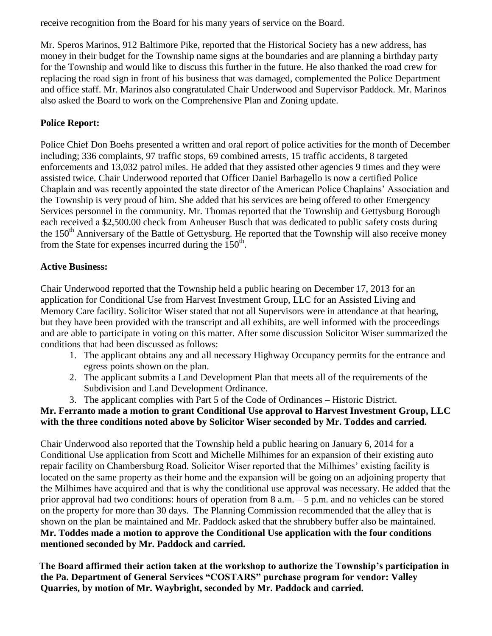receive recognition from the Board for his many years of service on the Board.

Mr. Speros Marinos, 912 Baltimore Pike, reported that the Historical Society has a new address, has money in their budget for the Township name signs at the boundaries and are planning a birthday party for the Township and would like to discuss this further in the future. He also thanked the road crew for replacing the road sign in front of his business that was damaged, complemented the Police Department and office staff. Mr. Marinos also congratulated Chair Underwood and Supervisor Paddock. Mr. Marinos also asked the Board to work on the Comprehensive Plan and Zoning update.

## **Police Report:**

Police Chief Don Boehs presented a written and oral report of police activities for the month of December including; 336 complaints, 97 traffic stops, 69 combined arrests, 15 traffic accidents, 8 targeted enforcements and 13,032 patrol miles. He added that they assisted other agencies 9 times and they were assisted twice. Chair Underwood reported that Officer Daniel Barbagello is now a certified Police Chaplain and was recently appointed the state director of the American Police Chaplains' Association and the Township is very proud of him. She added that his services are being offered to other Emergency Services personnel in the community. Mr. Thomas reported that the Township and Gettysburg Borough each received a \$2,500.00 check from Anheuser Busch that was dedicated to public safety costs during the  $150<sup>th</sup>$  Anniversary of the Battle of Gettysburg. He reported that the Township will also receive money from the State for expenses incurred during the  $150<sup>th</sup>$ .

# **Active Business:**

Chair Underwood reported that the Township held a public hearing on December 17, 2013 for an application for Conditional Use from Harvest Investment Group, LLC for an Assisted Living and Memory Care facility. Solicitor Wiser stated that not all Supervisors were in attendance at that hearing, but they have been provided with the transcript and all exhibits, are well informed with the proceedings and are able to participate in voting on this matter. After some discussion Solicitor Wiser summarized the conditions that had been discussed as follows:

- 1. The applicant obtains any and all necessary Highway Occupancy permits for the entrance and egress points shown on the plan.
- 2. The applicant submits a Land Development Plan that meets all of the requirements of the Subdivision and Land Development Ordinance.
- 3. The applicant complies with Part 5 of the Code of Ordinances Historic District.

# **Mr. Ferranto made a motion to grant Conditional Use approval to Harvest Investment Group, LLC with the three conditions noted above by Solicitor Wiser seconded by Mr. Toddes and carried.**

Chair Underwood also reported that the Township held a public hearing on January 6, 2014 for a Conditional Use application from Scott and Michelle Milhimes for an expansion of their existing auto repair facility on Chambersburg Road. Solicitor Wiser reported that the Milhimes' existing facility is located on the same property as their home and the expansion will be going on an adjoining property that the Milhimes have acquired and that is why the conditional use approval was necessary. He added that the prior approval had two conditions: hours of operation from 8 a.m. – 5 p.m. and no vehicles can be stored on the property for more than 30 days. The Planning Commission recommended that the alley that is shown on the plan be maintained and Mr. Paddock asked that the shrubbery buffer also be maintained. **Mr. Toddes made a motion to approve the Conditional Use application with the four conditions mentioned seconded by Mr. Paddock and carried.**

**The Board affirmed their action taken at the workshop to authorize the Township's participation in the Pa. Department of General Services "COSTARS" purchase program for vendor: Valley Quarries, by motion of Mr. Waybright, seconded by Mr. Paddock and carried.**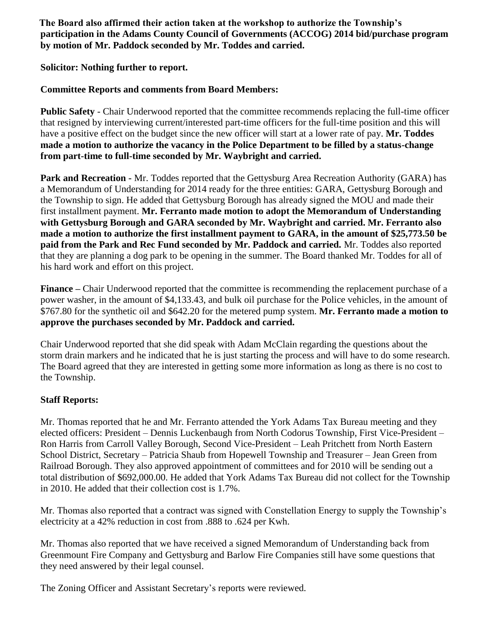**The Board also affirmed their action taken at the workshop to authorize the Township's participation in the Adams County Council of Governments (ACCOG) 2014 bid/purchase program by motion of Mr. Paddock seconded by Mr. Toddes and carried.**

**Solicitor: Nothing further to report.**

## **Committee Reports and comments from Board Members:**

**Public Safety** - Chair Underwood reported that the committee recommends replacing the full-time officer that resigned by interviewing current/interested part-time officers for the full-time position and this will have a positive effect on the budget since the new officer will start at a lower rate of pay. **Mr. Toddes made a motion to authorize the vacancy in the Police Department to be filled by a status-change from part-time to full-time seconded by Mr. Waybright and carried.**

**Park and Recreation -** Mr. Toddes reported that the Gettysburg Area Recreation Authority (GARA) has a Memorandum of Understanding for 2014 ready for the three entities: GARA, Gettysburg Borough and the Township to sign. He added that Gettysburg Borough has already signed the MOU and made their first installment payment. **Mr. Ferranto made motion to adopt the Memorandum of Understanding with Gettysburg Borough and GARA seconded by Mr. Waybright and carried. Mr. Ferranto also made a motion to authorize the first installment payment to GARA, in the amount of \$25,773.50 be paid from the Park and Rec Fund seconded by Mr. Paddock and carried.** Mr. Toddes also reported that they are planning a dog park to be opening in the summer. The Board thanked Mr. Toddes for all of his hard work and effort on this project.

**Finance –** Chair Underwood reported that the committee is recommending the replacement purchase of a power washer, in the amount of \$4,133.43, and bulk oil purchase for the Police vehicles, in the amount of \$767.80 for the synthetic oil and \$642.20 for the metered pump system. **Mr. Ferranto made a motion to approve the purchases seconded by Mr. Paddock and carried.** 

Chair Underwood reported that she did speak with Adam McClain regarding the questions about the storm drain markers and he indicated that he is just starting the process and will have to do some research. The Board agreed that they are interested in getting some more information as long as there is no cost to the Township.

# **Staff Reports:**

Mr. Thomas reported that he and Mr. Ferranto attended the York Adams Tax Bureau meeting and they elected officers: President – Dennis Luckenbaugh from North Codorus Township, First Vice-President – Ron Harris from Carroll Valley Borough, Second Vice-President – Leah Pritchett from North Eastern School District, Secretary – Patricia Shaub from Hopewell Township and Treasurer – Jean Green from Railroad Borough. They also approved appointment of committees and for 2010 will be sending out a total distribution of \$692,000.00. He added that York Adams Tax Bureau did not collect for the Township in 2010. He added that their collection cost is 1.7%.

Mr. Thomas also reported that a contract was signed with Constellation Energy to supply the Township's electricity at a 42% reduction in cost from .888 to .624 per Kwh.

Mr. Thomas also reported that we have received a signed Memorandum of Understanding back from Greenmount Fire Company and Gettysburg and Barlow Fire Companies still have some questions that they need answered by their legal counsel.

The Zoning Officer and Assistant Secretary's reports were reviewed.